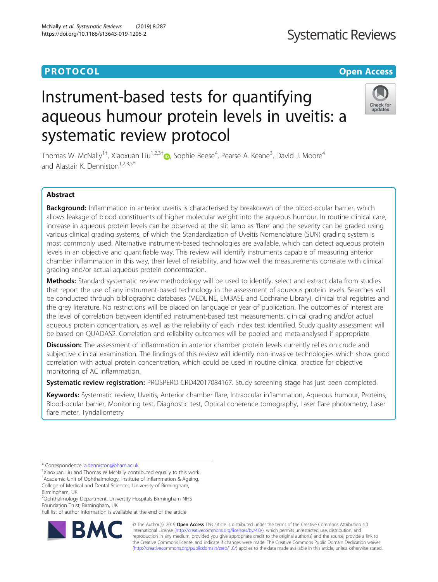# Instrument-based tests for quantifying aqueous humour protein levels in uveitis: a systematic review protocol

Thomas W. McNally<sup>1†</sup>, Xiaoxuan Liu<sup>1,2,3†</sup>®, Sophie Beese<sup>4</sup>, Pearse A. Keane<sup>3</sup>, David J. Moore<sup>4</sup> and Alastair K. Denniston<sup>1,2,3,5\*</sup>

# Abstract

Background: Inflammation in anterior uveitis is characterised by breakdown of the blood-ocular barrier, which allows leakage of blood constituents of higher molecular weight into the aqueous humour. In routine clinical care, increase in aqueous protein levels can be observed at the slit lamp as 'flare' and the severity can be graded using various clinical grading systems, of which the Standardization of Uveitis Nomenclature (SUN) grading system is most commonly used. Alternative instrument-based technologies are available, which can detect aqueous protein levels in an objective and quantifiable way. This review will identify instruments capable of measuring anterior chamber inflammation in this way, their level of reliability, and how well the measurements correlate with clinical grading and/or actual aqueous protein concentration.

Methods: Standard systematic review methodology will be used to identify, select and extract data from studies that report the use of any instrument-based technology in the assessment of aqueous protein levels. Searches will be conducted through bibliographic databases (MEDLINE, EMBASE and Cochrane Library), clinical trial registries and the grey literature. No restrictions will be placed on language or year of publication. The outcomes of interest are the level of correlation between identified instrument-based test measurements, clinical grading and/or actual aqueous protein concentration, as well as the reliability of each index test identified. Study quality assessment will be based on QUADAS2. Correlation and reliability outcomes will be pooled and meta-analysed if appropriate.

Discussion: The assessment of inflammation in anterior chamber protein levels currently relies on crude and subjective clinical examination. The findings of this review will identify non-invasive technologies which show good correlation with actual protein concentration, which could be used in routine clinical practice for objective monitoring of AC inflammation.

Systematic review registration: PROSPERO CRD42017084167. Study screening stage has just been completed.

Keywords: Systematic review, Uveitis, Anterior chamber flare, Intraocular inflammation, Aqueous humour, Proteins, Blood-ocular barrier, Monitoring test, Diagnostic test, Optical coherence tomography, Laser flare photometry, Laser flare meter, Tyndallometry

**BM** 

© The Author(s). 2019 **Open Access** This article is distributed under the terms of the Creative Commons Attribution 4.0 International License [\(http://creativecommons.org/licenses/by/4.0/](http://creativecommons.org/licenses/by/4.0/)), which permits unrestricted use, distribution, and reproduction in any medium, provided you give appropriate credit to the original author(s) and the source, provide a link to the Creative Commons license, and indicate if changes were made. The Creative Commons Public Domain Dedication waiver [\(http://creativecommons.org/publicdomain/zero/1.0/](http://creativecommons.org/publicdomain/zero/1.0/)) applies to the data made available in this article, unless otherwise stated.







<sup>\*</sup> Correspondence: [a.denniston@bham.ac.uk](mailto:a.denniston@bham.ac.uk) †

<sup>&</sup>lt;sup>+</sup>Xiaoxuan Liu and Thomas W McNally contributed equally to this work. <sup>1</sup> Academic Unit of Ophthalmology, Institute of Inflammation & Ageing,

College of Medical and Dental Sciences, University of Birmingham, Birmingham, UK

<sup>2</sup> Ophthalmology Department, University Hospitals Birmingham NHS Foundation Trust, Birmingham, UK

Full list of author information is available at the end of the article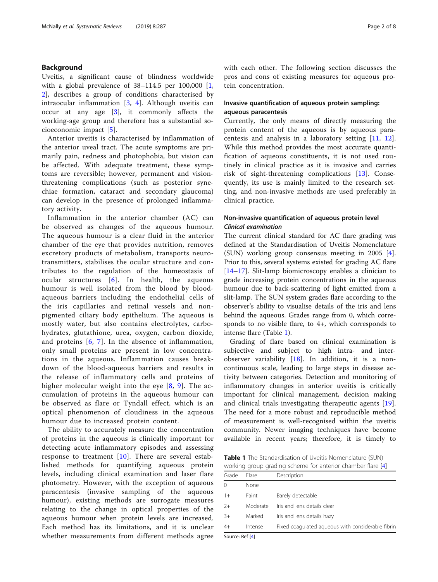## Background

Uveitis, a significant cause of blindness worldwide with a global prevalence of  $38-114.5$  per  $100,000$  [\[1](#page-7-0), [2\]](#page-7-0), describes a group of conditions characterised by intraocular inflammation [[3,](#page-7-0) [4](#page-7-0)]. Although uveitis can occur at any age [[3\]](#page-7-0), it commonly affects the working-age group and therefore has a substantial socioeconomic impact [[5\]](#page-7-0).

Anterior uveitis is characterised by inflammation of the anterior uveal tract. The acute symptoms are primarily pain, redness and photophobia, but vision can be affected. With adequate treatment, these symptoms are reversible; however, permanent and visionthreatening complications (such as posterior synechiae formation, cataract and secondary glaucoma) can develop in the presence of prolonged inflammatory activity.

Inflammation in the anterior chamber (AC) can be observed as changes of the aqueous humour. The aqueous humour is a clear fluid in the anterior chamber of the eye that provides nutrition, removes excretory products of metabolism, transports neurotransmitters, stabilises the ocular structure and contributes to the regulation of the homeostasis of ocular structures [[6](#page-7-0)]. In health, the aqueous humour is well isolated from the blood by bloodaqueous barriers including the endothelial cells of the iris capillaries and retinal vessels and nonpigmented ciliary body epithelium. The aqueous is mostly water, but also contains electrolytes, carbohydrates, glutathione, urea, oxygen, carbon dioxide, and proteins [[6](#page-7-0), [7](#page-7-0)]. In the absence of inflammation, only small proteins are present in low concentrations in the aqueous. Inflammation causes breakdown of the blood-aqueous barriers and results in the release of inflammatory cells and proteins of higher molecular weight into the eye  $[8, 9]$  $[8, 9]$  $[8, 9]$  $[8, 9]$ . The accumulation of proteins in the aqueous humour can be observed as flare or Tyndall effect, which is an optical phenomenon of cloudiness in the aqueous humour due to increased protein content.

The ability to accurately measure the concentration of proteins in the aqueous is clinically important for detecting acute inflammatory episodes and assessing response to treatment [\[10\]](#page-7-0). There are several established methods for quantifying aqueous protein levels, including clinical examination and laser flare photometry. However, with the exception of aqueous paracentesis (invasive sampling of the aqueous humour), existing methods are surrogate measures relating to the change in optical properties of the aqueous humour when protein levels are increased. Each method has its limitations, and it is unclear whether measurements from different methods agree with each other. The following section discusses the pros and cons of existing measures for aqueous protein concentration.

# Invasive quantification of aqueous protein sampling: aqueous paracentesis

Currently, the only means of directly measuring the protein content of the aqueous is by aqueous paracentesis and analysis in a laboratory setting [[11,](#page-7-0) [12](#page-7-0)]. While this method provides the most accurate quantification of aqueous constituents, it is not used routinely in clinical practice as it is invasive and carries risk of sight-threatening complications [[13](#page-7-0)]. Consequently, its use is mainly limited to the research setting, and non-invasive methods are used preferably in clinical practice.

# Non-invasive quantification of aqueous protein level Clinical examination

The current clinical standard for AC flare grading was defined at the Standardisation of Uveitis Nomenclature (SUN) working group consensus meeting in 2005 [\[4](#page-7-0)]. Prior to this, several systems existed for grading AC flare [[14](#page-7-0)–[17](#page-7-0)]. Slit-lamp biomicroscopy enables a clinician to grade increasing protein concentrations in the aqueous humour due to back-scattering of light emitted from a slit-lamp. The SUN system grades flare according to the observer's ability to visualise details of the iris and lens behind the aqueous. Grades range from 0, which corresponds to no visible flare, to 4+, which corresponds to intense flare (Table 1).

Grading of flare based on clinical examination is subjective and subject to high intra- and interobserver variability  $[18]$  $[18]$ . In addition, it is a noncontinuous scale, leading to large steps in disease activity between categories. Detection and monitoring of inflammatory changes in anterior uveitis is critically important for clinical management, decision making and clinical trials investigating therapeutic agents [\[19](#page-7-0)]. The need for a more robust and reproducible method of measurement is well-recognised within the uveitis community. Newer imaging techniques have become available in recent years; therefore, it is timely to

Table 1 The Standardisation of Uveitis Nomenclature (SUN) working group grading scheme for anterior chamber flare [[4](#page-7-0)]

| Grade              | Flare    | Description                                       |
|--------------------|----------|---------------------------------------------------|
| $\Omega$           | None     |                                                   |
| $1+$               | Faint    | Barely detectable                                 |
| $2+$               | Moderate | Iris and lens details clear                       |
| $3+$               | Marked   | Iris and lens details hazy                        |
| $4+$               | Intense  | Fixed coaqulated aqueous with considerable fibrin |
| $C_1, \ldots, C_n$ |          |                                                   |

Source: Ref [[4](#page-7-0)]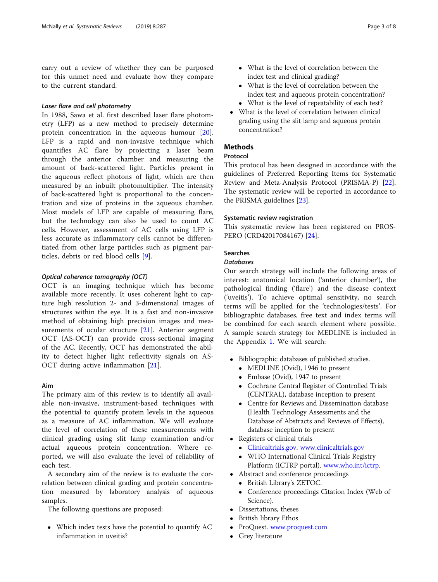carry out a review of whether they can be purposed for this unmet need and evaluate how they compare to the current standard.

#### Laser flare and cell photometry

In 1988, Sawa et al. first described laser flare photometry (LFP) as a new method to precisely determine protein concentration in the aqueous humour [\[20](#page-7-0)]. LFP is a rapid and non-invasive technique which quantifies AC flare by projecting a laser beam through the anterior chamber and measuring the amount of back-scattered light. Particles present in the aqueous reflect photons of light, which are then measured by an inbuilt photomultiplier. The intensity of back-scattered light is proportional to the concentration and size of proteins in the aqueous chamber. Most models of LFP are capable of measuring flare, but the technology can also be used to count AC cells. However, assessment of AC cells using LFP is less accurate as inflammatory cells cannot be differentiated from other large particles such as pigment particles, debris or red blood cells [[9\]](#page-7-0).

#### Optical coherence tomography (OCT)

OCT is an imaging technique which has become available more recently. It uses coherent light to capture high resolution 2- and 3-dimensional images of structures within the eye. It is a fast and non-invasive method of obtaining high precision images and mea-surements of ocular structure [[21\]](#page-7-0). Anterior segment OCT (AS-OCT) can provide cross-sectional imaging of the AC. Recently, OCT has demonstrated the ability to detect higher light reflectivity signals on AS-OCT during active inflammation [[21](#page-7-0)].

#### Aim

The primary aim of this review is to identify all available non-invasive, instrument-based techniques with the potential to quantify protein levels in the aqueous as a measure of AC inflammation. We will evaluate the level of correlation of these measurements with clinical grading using slit lamp examination and/or actual aqueous protein concentration. Where reported, we will also evaluate the level of reliability of each test.

A secondary aim of the review is to evaluate the correlation between clinical grading and protein concentration measured by laboratory analysis of aqueous samples.

The following questions are proposed:

• Which index tests have the potential to quantify AC inflammation in uveitis?

- What is the level of correlation between the index test and clinical grading?
- What is the level of correlation between the index test and aqueous protein concentration?
- What is the level of repeatability of each test?
- What is the level of correlation between clinical grading using the slit lamp and aqueous protein concentration?

# **Methods**

# **Protocol**

This protocol has been designed in accordance with the guidelines of Preferred Reporting Items for Systematic Review and Meta-Analysis Protocol (PRISMA-P) [\[22](#page-7-0)]. The systematic review will be reported in accordance to the PRISMA guidelines [\[23](#page-7-0)].

#### Systematic review registration

This systematic review has been registered on PROS-PERO (CRD42017084167) [[24](#page-7-0)].

# Searches

# Databases

Our search strategy will include the following areas of interest: anatomical location ('anterior chamber'), the pathological finding ('flare') and the disease context ('uveitis'). To achieve optimal sensitivity, no search terms will be applied for the 'technologies/tests'. For bibliographic databases, free text and index terms will be combined for each search element where possible. A sample search strategy for MEDLINE is included in the Appendix [1](#page-5-0). We will search:

- Bibliographic databases of published studies.
	- MEDLINE (Ovid), 1946 to present
	- Embase (Ovid), 1947 to present
	- Cochrane Central Register of Controlled Trials (CENTRAL), database inception to present
	- Centre for Reviews and Dissemination database (Health Technology Assessments and the Database of Abstracts and Reviews of Effects), database inception to present
- Registers of clinical trials
	- [Clinicaltrials.gov](http://clinicaltrials.gov). [www.clinicaltrials.gov](http://www.clinicaltrials.gov)
	- WHO International Clinical Trials Registry Platform (ICTRP portal). [www.who.int/ictrp](http://www.who.int/ictrp).
- Abstract and conference proceedings
	- British Library's ZETOC.
	- Conference proceedings Citation Index (Web of Science).
- Dissertations, theses
- British library Ethos
- ProQuest. [www.proquest.com](http://www.proquest.com)
- Grey literature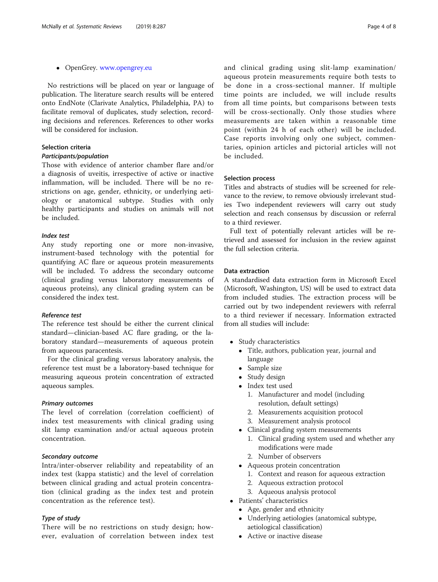• OpenGrey. [www.opengrey.eu](http://www.opengrey.eu)

No restrictions will be placed on year or language of publication. The literature search results will be entered onto EndNote (Clarivate Analytics, Philadelphia, PA) to facilitate removal of duplicates, study selection, recording decisions and references. References to other works will be considered for inclusion.

# Selection criteria

# Participants/population

Those with evidence of anterior chamber flare and/or a diagnosis of uveitis, irrespective of active or inactive inflammation, will be included. There will be no restrictions on age, gender, ethnicity, or underlying aetiology or anatomical subtype. Studies with only healthy participants and studies on animals will not be included.

#### Index test

Any study reporting one or more non-invasive, instrument-based technology with the potential for quantifying AC flare or aqueous protein measurements will be included. To address the secondary outcome (clinical grading versus laboratory measurements of aqueous proteins), any clinical grading system can be considered the index test.

#### Reference test

The reference test should be either the current clinical standard—clinician-based AC flare grading, or the laboratory standard—measurements of aqueous protein from aqueous paracentesis.

For the clinical grading versus laboratory analysis, the reference test must be a laboratory-based technique for measuring aqueous protein concentration of extracted aqueous samples.

#### Primary outcomes

The level of correlation (correlation coefficient) of index test measurements with clinical grading using slit lamp examination and/or actual aqueous protein concentration.

# Secondary outcome

Intra/inter-observer reliability and repeatability of an index test (kappa statistic) and the level of correlation between clinical grading and actual protein concentration (clinical grading as the index test and protein concentration as the reference test).

#### Type of study

There will be no restrictions on study design; however, evaluation of correlation between index test and clinical grading using slit-lamp examination/ aqueous protein measurements require both tests to be done in a cross-sectional manner. If multiple time points are included, we will include results from all time points, but comparisons between tests will be cross-sectionally. Only those studies where measurements are taken within a reasonable time point (within 24 h of each other) will be included. Case reports involving only one subject, commentaries, opinion articles and pictorial articles will not be included.

#### Selection process

Titles and abstracts of studies will be screened for relevance to the review, to remove obviously irrelevant studies Two independent reviewers will carry out study selection and reach consensus by discussion or referral to a third reviewer.

Full text of potentially relevant articles will be retrieved and assessed for inclusion in the review against the full selection criteria.

# Data extraction

A standardised data extraction form in Microsoft Excel (Microsoft, Washington, US) will be used to extract data from included studies. The extraction process will be carried out by two independent reviewers with referral to a third reviewer if necessary. Information extracted from all studies will include:

- Study characteristics
	- Title, authors, publication year, journal and language
	- Sample size
	- Study design
	- Index test used
		- 1. Manufacturer and model (including resolution, default settings)
		- 2. Measurements acquisition protocol
		- 3. Measurement analysis protocol
	- Clinical grading system measurements
		- 1. Clinical grading system used and whether any modifications were made
		- 2. Number of observers
	- Aqueous protein concentration
		- 1. Context and reason for aqueous extraction
		- 2. Aqueous extraction protocol
		- 3. Aqueous analysis protocol
- Patients' characteristics
	- Age, gender and ethnicity
	- Underlying aetiologies (anatomical subtype, aetiological classification)
	- Active or inactive disease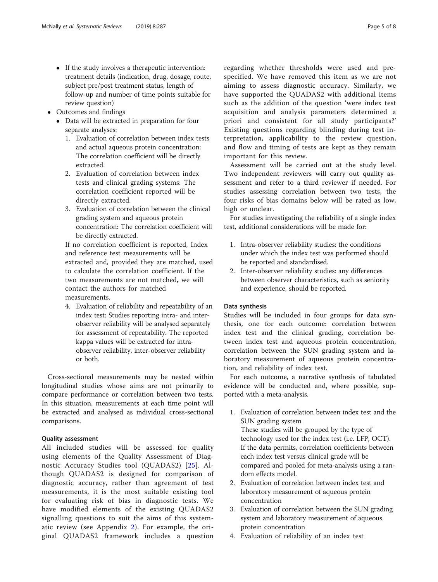- If the study involves a therapeutic intervention: treatment details (indication, drug, dosage, route, subject pre/post treatment status, length of follow-up and number of time points suitable for review question)
- Outcomes and findings
	- Data will be extracted in preparation for four separate analyses:
		- 1. Evaluation of correlation between index tests and actual aqueous protein concentration: The correlation coefficient will be directly extracted.
		- 2. Evaluation of correlation between index tests and clinical grading systems: The correlation coefficient reported will be directly extracted.
		- 3. Evaluation of correlation between the clinical grading system and aqueous protein concentration: The correlation coefficient will be directly extracted.

If no correlation coefficient is reported, Index and reference test measurements will be extracted and, provided they are matched, used to calculate the correlation coefficient. If the two measurements are not matched, we will contact the authors for matched measurements.

4. Evaluation of reliability and repeatability of an index test: Studies reporting intra- and interobserver reliability will be analysed separately for assessment of repeatability. The reported kappa values will be extracted for intraobserver reliability, inter-observer reliability

Cross-sectional measurements may be nested within longitudinal studies whose aims are not primarily to compare performance or correlation between two tests. In this situation, measurements at each time point will be extracted and analysed as individual cross-sectional comparisons.

# Quality assessment

or both.

All included studies will be assessed for quality using elements of the Quality Assessment of Diagnostic Accuracy Studies tool (QUADAS2) [\[25\]](#page-7-0). Although QUADAS2 is designed for comparison of diagnostic accuracy, rather than agreement of test measurements, it is the most suitable existing tool for evaluating risk of bias in diagnostic tests. We have modified elements of the existing QUADAS2 signalling questions to suit the aims of this systematic review (see Appendix 2). For example, the original QUADAS2 framework includes a question

regarding whether thresholds were used and prespecified. We have removed this item as we are not aiming to assess diagnostic accuracy. Similarly, we have supported the QUADAS2 with additional items such as the addition of the question 'were index test acquisition and analysis parameters determined a priori and consistent for all study participants?' Existing questions regarding blinding during test interpretation, applicability to the review question, and flow and timing of tests are kept as they remain important for this review.

Assessment will be carried out at the study level. Two independent reviewers will carry out quality assessment and refer to a third reviewer if needed. For studies assessing correlation between two tests, the four risks of bias domains below will be rated as low, high or unclear.

For studies investigating the reliability of a single index test, additional considerations will be made for:

- 1. Intra-observer reliability studies: the conditions under which the index test was performed should be reported and standardised.
- 2. Inter-observer reliability studies: any differences between observer characteristics, such as seniority and experience, should be reported.

# Data synthesis

Studies will be included in four groups for data synthesis, one for each outcome: correlation between index test and the clinical grading, correlation between index test and aqueous protein concentration, correlation between the SUN grading system and laboratory measurement of aqueous protein concentration, and reliability of index test.

For each outcome, a narrative synthesis of tabulated evidence will be conducted and, where possible, supported with a meta-analysis.

- 1. Evaluation of correlation between index test and the SUN grading system These studies will be grouped by the type of technology used for the index test (i.e. LFP, OCT). If the data permits, correlation coefficients between each index test versus clinical grade will be compared and pooled for meta-analysis using a random effects model.
- 2. Evaluation of correlation between index test and laboratory measurement of aqueous protein concentration
- 3. Evaluation of correlation between the SUN grading system and laboratory measurement of aqueous protein concentration
- 4. Evaluation of reliability of an index test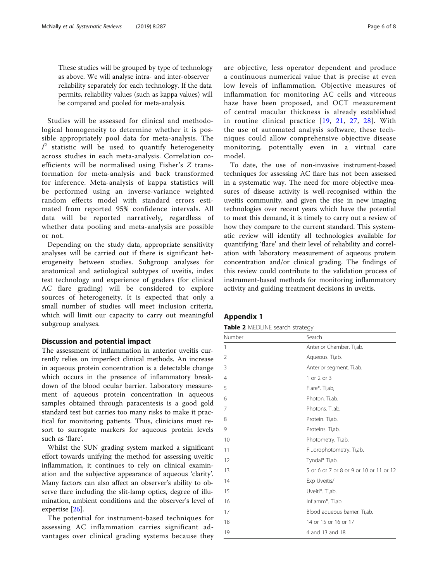<span id="page-5-0"></span>These studies will be grouped by type of technology as above. We will analyse intra- and inter-observer reliability separately for each technology. If the data permits, reliability values (such as kappa values) will be compared and pooled for meta-analysis.

Studies will be assessed for clinical and methodological homogeneity to determine whether it is possible appropriately pool data for meta-analysis. The  $I^2$  statistic will be used to quantify heterogeneity across studies in each meta-analysis. Correlation coefficients will be normalised using Fisher's Z transformation for meta-analysis and back transformed for inference. Meta-analysis of kappa statistics will be performed using an inverse-variance weighted random effects model with standard errors estimated from reported 95% confidence intervals. All data will be reported narratively, regardless of whether data pooling and meta-analysis are possible or not.

Depending on the study data, appropriate sensitivity analyses will be carried out if there is significant heterogeneity between studies. Subgroup analyses for anatomical and aetiological subtypes of uveitis, index test technology and experience of graders (for clinical AC flare grading) will be considered to explore sources of heterogeneity. It is expected that only a small number of studies will meet inclusion criteria, which will limit our capacity to carry out meaningful subgroup analyses.

# Discussion and potential impact

The assessment of inflammation in anterior uveitis currently relies on imperfect clinical methods. An increase in aqueous protein concentration is a detectable change which occurs in the presence of inflammatory breakdown of the blood ocular barrier. Laboratory measurement of aqueous protein concentration in aqueous samples obtained through paracentesis is a good gold standard test but carries too many risks to make it practical for monitoring patients. Thus, clinicians must resort to surrogate markers for aqueous protein levels such as 'flare'.

Whilst the SUN grading system marked a significant effort towards unifying the method for assessing uveitic inflammation, it continues to rely on clinical examination and the subjective appearance of aqueous 'clarity'. Many factors can also affect an observer's ability to observe flare including the slit-lamp optics, degree of illumination, ambient conditions and the observer's level of expertise [\[26](#page-7-0)].

The potential for instrument-based techniques for assessing AC inflammation carries significant advantages over clinical grading systems because they are objective, less operator dependent and produce a continuous numerical value that is precise at even low levels of inflammation. Objective measures of inflammation for monitoring AC cells and vitreous haze have been proposed, and OCT measurement of central macular thickness is already established in routine clinical practice [[19,](#page-7-0) [21](#page-7-0), [27](#page-7-0), [28\]](#page-7-0). With the use of automated analysis software, these techniques could allow comprehensive objective disease monitoring, potentially even in a virtual care model.

To date, the use of non-invasive instrument-based techniques for assessing AC flare has not been assessed in a systematic way. The need for more objective measures of disease activity is well-recognised within the uveitis community, and given the rise in new imaging technologies over recent years which have the potential to meet this demand, it is timely to carry out a review of how they compare to the current standard. This systematic review will identify all technologies available for quantifying 'flare' and their level of reliability and correlation with laboratory measurement of aqueous protein concentration and/or clinical grading. The findings of this review could contribute to the validation process of instrument-based methods for monitoring inflammatory activity and guiding treatment decisions in uveitis.

# Appendix 1

| Table 2 MEDLINE search strategy |
|---------------------------------|
|                                 |

| Number         | Search                                  |  |
|----------------|-----------------------------------------|--|
| 1              | Anterior Chamber. Ti,ab.                |  |
| $\overline{2}$ | Aqueous. Ti,ab.                         |  |
| 3              | Anterior segment. Ti,ab.                |  |
| $\overline{4}$ | 1 or 2 or 3                             |  |
| 5              | Flare*. Ti,ab,                          |  |
| 6              | Photon. Ti,ab.                          |  |
| 7              | Photons. Ti,ab.                         |  |
| 8              | Protein. Ti,ab.                         |  |
| 9              | Proteins. Ti,ab.                        |  |
| 10             | Photometry. Ti,ab.                      |  |
| 11             | Fluorophotometry. Ti,ab.                |  |
| 12             | Tyndal* Ti,ab.                          |  |
| 13             | 5 or 6 or 7 or 8 or 9 or 10 or 11 or 12 |  |
| 14             | Exp Uveitis/                            |  |
| 15             | Uveiti*. Ti,ab.                         |  |
| 16             | Inflamm*. Ti,ab.                        |  |
| 17             | Blood aqueous barrier. Ti,ab.           |  |
| 18             | 14 or 15 or 16 or 17                    |  |
| 19             | 4 and 13 and 18                         |  |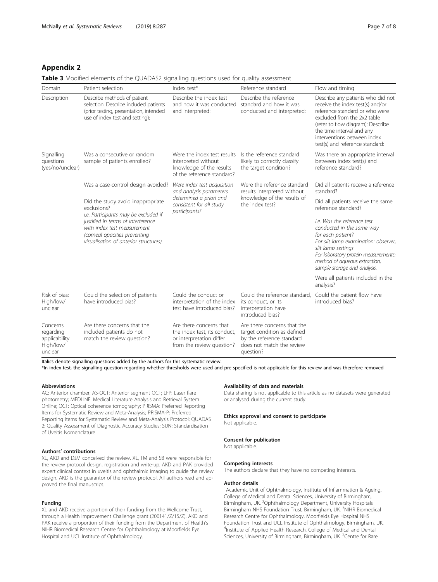# Appendix 2

**Table 3** Modified elements of the QUADAS2 signalling questions used for quality assessment

| Domain                                                          | Patient selection                                                                                                                                 | Index test*                                                                                                                    | Reference standard                                                                                                                | Flow and timing                                                                                                                                                                                                                                                            |
|-----------------------------------------------------------------|---------------------------------------------------------------------------------------------------------------------------------------------------|--------------------------------------------------------------------------------------------------------------------------------|-----------------------------------------------------------------------------------------------------------------------------------|----------------------------------------------------------------------------------------------------------------------------------------------------------------------------------------------------------------------------------------------------------------------------|
| Description                                                     | Describe methods of patient<br>selection: Describe included patients<br>(prior testing, presentation, intended<br>use of index test and setting): | Describe the index test<br>and how it was conducted<br>and interpreted:                                                        | Describe the reference<br>standard and how it was<br>conducted and interpreted:                                                   | Describe any patients who did not<br>receive the index test(s) and/or<br>reference standard or who were<br>excluded from the 2x2 table<br>(refer to flow diagram): Describe<br>the time interval and any<br>interventions between index<br>test(s) and reference standard: |
| Signalling<br>questions<br>(yes/no/unclear)                     | Was a consecutive or random<br>sample of patients enrolled?                                                                                       | Were the index test results<br>interpreted without<br>knowledge of the results<br>of the reference standard?                   | Is the reference standard<br>likely to correctly classify<br>the target condition?                                                | Was there an appropriate interval<br>between index test(s) and<br>reference standard?                                                                                                                                                                                      |
|                                                                 | Was a case-control design avoided?                                                                                                                | Were index test acquisition<br>and analysis parameters<br>determined a priori and<br>consistent for all study<br>participants? | Were the reference standard<br>results interpreted without<br>knowledge of the results of<br>the index test?                      | Did all patients receive a reference<br>standard?                                                                                                                                                                                                                          |
|                                                                 | Did the study avoid inappropriate<br>exclusions?<br>i.e. Participants may be excluded if                                                          |                                                                                                                                |                                                                                                                                   | Did all patients receive the same<br>reference standard?                                                                                                                                                                                                                   |
|                                                                 | justified in terms of interference<br>with index test measurement<br>(corneal opacities preventing<br>visualisation of anterior structures).      |                                                                                                                                |                                                                                                                                   | i.e. Was the reference test<br>conducted in the same way<br>for each patient?<br>For slit lamp examination: observer,<br>slit lamp settings<br>For laboratory protein measurements:<br>method of aqueous extraction,<br>sample storage and analysis.                       |
|                                                                 |                                                                                                                                                   |                                                                                                                                |                                                                                                                                   | Were all patients included in the<br>analysis?                                                                                                                                                                                                                             |
| Risk of bias:<br>High/low/<br>unclear                           | Could the selection of patients<br>have introduced bias?                                                                                          | Could the conduct or<br>interpretation of the index<br>test have introduced bias?                                              | Could the reference standard.<br>its conduct, or its<br>interpretation have<br>introduced bias?                                   | Could the patient flow have<br>introduced bias?                                                                                                                                                                                                                            |
| Concerns<br>regarding<br>applicability:<br>High/low/<br>unclear | Are there concerns that the<br>included patients do not<br>match the review question?                                                             | Are there concerns that<br>the index test, its conduct,<br>or interpretation differ<br>from the review question?               | Are there concerns that the<br>target condition as defined<br>by the reference standard<br>does not match the review<br>question? |                                                                                                                                                                                                                                                                            |

Italics denote signalling questions added by the authors for this systematic review.

\*In index test, the signalling question regarding whether thresholds were used and pre-specified is not applicable for this review and was therefore removed

#### Abbreviations

AC: Anterior chamber; AS-OCT: Anterior segment OCT; LFP: Laser flare photometry; MEDLINE: Medical Literature Analysis and Retrieval System Online; OCT: Optical coherence tomography; PRISMA: Preferred Reporting Items for Systematic Review and Meta-Analysis; PRISMA-P: Preferred Reporting Items for Systematic Review and Meta-Analysis Protocol; QUADAS 2: Quality Assessment of Diagnostic Accuracy Studies; SUN: Standardisation of Uveitis Nomenclature

#### Authors' contributions

XL, AKD and DJM conceived the review. XL, TM and SB were responsible for the review protocol design, registration and write-up. AKD and PAK provided expert clinical context in uveitis and ophthalmic imaging to guide the review design. AKD is the guarantor of the review protocol. All authors read and approved the final manuscript.

# Funding

XL and AKD receive a portion of their funding from the Wellcome Trust, through a Health Improvement Challenge grant (200141/Z/15/Z). AKD and PAK receive a proportion of their funding from the Department of Health's NIHR Biomedical Research Centre for Ophthalmology at Moorfields Eye Hospital and UCL Institute of Ophthalmology.

#### Availability of data and materials

Data sharing is not applicable to this article as no datasets were generated or analysed during the current study.

#### Ethics approval and consent to participate

Not applicable.

#### Consent for publication

Not applicable.

#### Competing interests

The authors declare that they have no competing interests.

#### Author details

<sup>1</sup> Academic Unit of Ophthalmology, Institute of Inflammation & Ageing College of Medical and Dental Sciences, University of Birmingham, Birmingham, UK. <sup>2</sup>Ophthalmology Department, University Hospitals Birmingham NHS Foundation Trust, Birmingham, UK. <sup>3</sup>NIHR Biomedical Research Centre for Ophthalmology, Moorfields Eye Hospital NHS Foundation Trust and UCL Institute of Ophthalmology, Birmingham, UK. 4 Institute of Applied Health Research, College of Medical and Dental Sciences, University of Birmingham, Birmingham, UK.<sup>5</sup> Centre for Rare